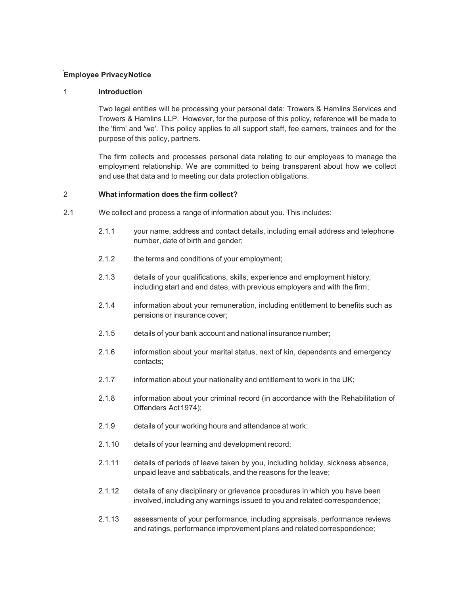# **Employee Privacy Notice**

### 1 **Introduction**

Two legal entities will be processing your personal data: Trowers & Hamlins Services and Trowers & Hamlins LLP. However, for the purpose of this policy, reference will be made to the 'firm' and 'we'. This policy applies to all support staff, fee earners, trainees and for the purpose of this policy, partners.

The firm collects and processes personal data relating to our employees to manage the employment relationship. We are committed to being transparent about how we collect and use that data and to meeting our data protection obligations.

#### 2 **What information does the firm collect?**

- 2.1 We collect and process a range of information about you. This includes:
	- 2.1.1 your name, address and contact details, including email address and telephone number, date of birth and gender;
	- 2.1.2 the terms and conditions of your employment;
	- 2.1.3 details of your qualifications, skills, experience and employment history, including start and end dates, with previous employers and with the firm;
	- 2.1.4 information about your remuneration, including entitlement to benefits such as pensions or insurance cover;
	- 2.1.5 details of your bank account and national insurance number;
	- 2.1.6 information about your marital status, next of kin, dependants and emergency contacts;
	- 2.1.7 information about your nationality and entitlement to work in the UK;
	- 2.1.8 information about your criminal record (in accordance with the Rehabilitation of Offenders Act 1974);
	- 2.1.9 details of your working hours and attendance at work;
	- 2.1.10 details of your learning and development record;
	- 2.1.11 details of periods of leave taken by you, including holiday, sickness absence, unpaid leave and sabbaticals, and the reasons for the leave;
	- 2.1.12 details of any disciplinary or grievance procedures in which you have been involved, including any warnings issued to you and related correspondence;
	- 2.1.13 assessments of your performance, including appraisals, performance reviews and ratings, performance improvement plans and related correspondence;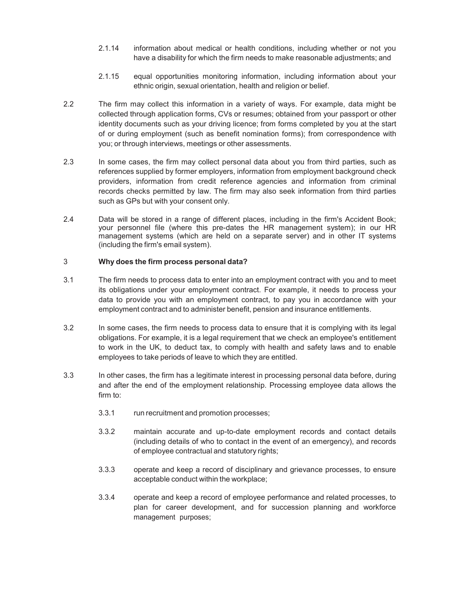- 2.1.14 information about medical or health conditions, including whether or not you have a disability for which the firm needs to make reasonable adjustments; and
- 2.1.15 equal opportunities monitoring information, including information about your ethnic origin, sexual orientation, health and religion or belief.
- 2.2 The firm may collect this information in a variety of ways. For example, data might be collected through application forms, CVs or resumes; obtained from your passport or other identity documents such as your driving licence; from forms completed by you at the start of or during employment (such as benefit nomination forms); from correspondence with you; or through interviews, meetings or other assessments.
- 2.3 In some cases, the firm may collect personal data about you from third parties, such as references supplied by former employers, information from employment background check providers, information from credit reference agencies and information from criminal records checks permitted by law. The firm may also seek information from third parties such as GPs but with your consent only.
- 2.4 Data will be stored in a range of different places, including in the firm's Accident Book; your personnel file (where this pre-dates the HR management system); in our HR management systems (which are held on a separate server) and in other IT systems (including the firm's email system).

#### 3 **Why does the firm process personal data?**

- 3.1 The firm needs to process data to enter into an employment contract with you and to meet its obligations under your employment contract. For example, it needs to process your data to provide you with an employment contract, to pay you in accordance with your employment contract and to administer benefit, pension and insurance entitlements.
- 3.2 In some cases, the firm needs to process data to ensure that it is complying with its legal obligations. For example, it is a legal requirement that we check an employee's entitlement to work in the UK, to deduct tax, to comply with health and safety laws and to enable employees to take periods of leave to which they are entitled.
- 3.3 In other cases, the firm has a legitimate interest in processing personal data before, during and after the end of the employment relationship. Processing employee data allows the firm to:
	- 3.3.1 run recruitment and promotion processes;
	- 3.3.2 maintain accurate and up-to-date employment records and contact details (including details of who to contact in the event of an emergency), and records of employee contractual and statutory rights;
	- 3.3.3 operate and keep a record of disciplinary and grievance processes, to ensure acceptable conduct within the workplace;
	- 3.3.4 operate and keep a record of employee performance and related processes, to plan for career development, and for succession planning and workforce management purposes;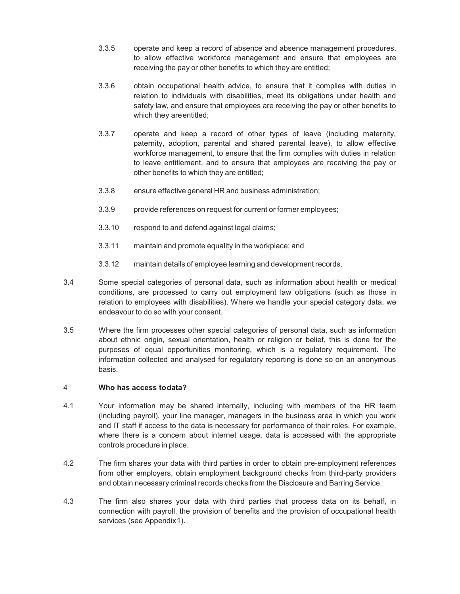- 3.3.5 operate and keep a record of absence and absence management procedures, to allow effective workforce management and ensure that employees are receiving the pay or other benefits to which they are entitled;
- 3.3.6 obtain occupational health advice, to ensure that it complies with duties in relation to individuals with disabilities, meet its obligations under health and safety law, and ensure that employees are receiving the pay or other benefits to which they are entitled;
- 3.3.7 operate and keep a record of other types of leave (including maternity, paternity, adoption, parental and shared parental leave), to allow effective workforce management, to ensure that the firm complies with duties in relation to leave entitlement, and to ensure that employees are receiving the pay or other benefits to which they are entitled;
- 3.3.8 ensure effective general HR and business administration;
- 3.3.9 provide references on request for current or former employees;
- 3.3.10 respond to and defend against legal claims;
- 3.3.11 maintain and promote equality in the workplace; and
- 3.3.12 maintain details of employee learning and development records.
- 3.4 Some special categories of personal data, such as information about health or medical conditions, are processed to carry out employment law obligations (such as those in relation to employees with disabilities). Where we handle your special category data, we endeavour to do so with your consent.
- 3.5 Where the firm processes other special categories of personal data, such as information about ethnic origin, sexual orientation, health or religion or belief, this is done for the purposes of equal opportunities monitoring, which is a regulatory requirement. The information collected and analysed for regulatory reporting is done so on an anonymous basis.

#### 4 **Who has access to data?**

- 4.1 Your information may be shared internally, including with members of the HR team (including payroll), your line manager, managers in the business area in which you work and IT staff if access to the data is necessary for performance of their roles. For example, where there is a concern about internet usage, data is accessed with the appropriate controls procedure in place.
- 4.2 The firm shares your data with third parties in order to obtain pre-employment references from other employers, obtain employment background checks from third-party providers and obtain necessary criminal records checks from the Disclosure and Barring Service.
- 4.3 The firm also shares your data with third parties that process data on its behalf, in connection with payroll, the provision of benefits and the provision of occupational health services (see Appendix 1).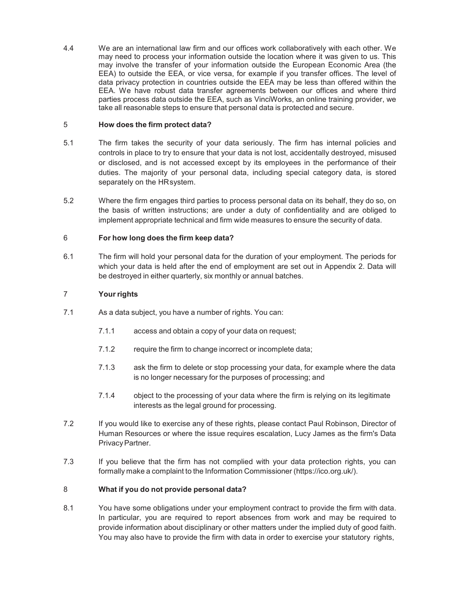4.4 We are an international law firm and our offices work collaboratively with each other. We may need to process your information outside the location where it was given to us. This may involve the transfer of your information outside the European Economic Area (the EEA) to outside the EEA, or vice versa, for example if you transfer offices. The level of data privacy protection in countries outside the EEA may be less than offered within the EEA. We have robust data transfer agreements between our offices and where third parties process data outside the EEA, such as VinciWorks, an online training provider, we take all reasonable steps to ensure that personal data is protected and secure.

#### 5 **How does the firm protect data?**

- 5.1 The firm takes the security of your data seriously. The firm has internal policies and controls in place to try to ensure that your data is not lost, accidentally destroyed, misused or disclosed, and is not accessed except by its employees in the performance of their duties. The majority of your personal data, including special category data, is stored separately on the HR system.
- 5.2 Where the firm engages third parties to process personal data on its behalf, they do so, on the basis of written instructions; are under a duty of confidentiality and are obliged to implement appropriate technical and firm wide measures to ensure the security of data.

## 6 **For how long does the firm keep data?**

6.1 The firm will hold your personal data for the duration of your employment. The periods for which your data is held after the end of employment are set out in Appendix 2. Data will be destroyed in either quarterly, six monthly or annual batches.

## 7 **Your rights**

- 7.1 As a data subject, you have a number of rights. You can:
	- 7.1.1 access and obtain a copy of your data on request;
	- 7.1.2 require the firm to change incorrect or incomplete data;
	- 7.1.3 ask the firm to delete or stop processing your data, for example where the data is no longer necessary for the purposes of processing; and
	- 7.1.4 object to the processing of your data where the firm is relying on its legitimate interests as the legal ground for processing.
- 7.2 If you would like to exercise any of these rights, please contact Paul Robinson, Director of Human Resources or where the issue requires escalation, Lucy James as the firm's Data Privacy Partner.
- 7.3 If you believe that the firm has not complied with your data protection rights, you can formally make a complaint to the Information Commissioner (https://ico.org.uk/).

#### 8 **What if you do not provide personal data?**

8.1 You have some obligations under your employment contract to provide the firm with data. In particular, you are required to report absences from work and may be required to provide information about disciplinary or other matters under the implied duty of good faith. You may also have to provide the firm with data in order to exercise your statutory rights,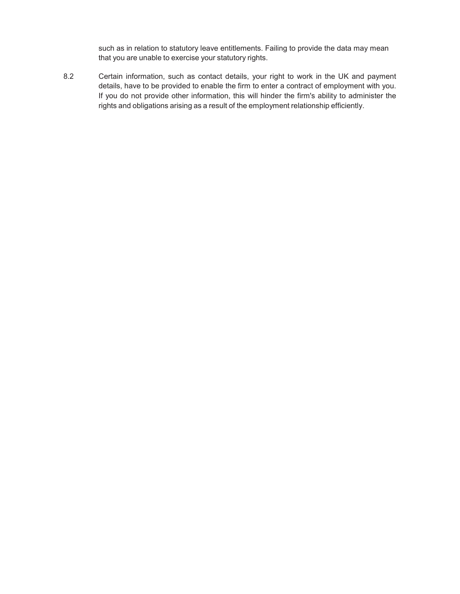such as in relation to statutory leave entitlements. Failing to provide the data may mean that you are unable to exercise your statutory rights.

8.2 Certain information, such as contact details, your right to work in the UK and payment details, have to be provided to enable the firm to enter a contract of employment with you. If you do not provide other information, this will hinder the firm's ability to administer the rights and obligations arising as a result of the employment relationship efficiently.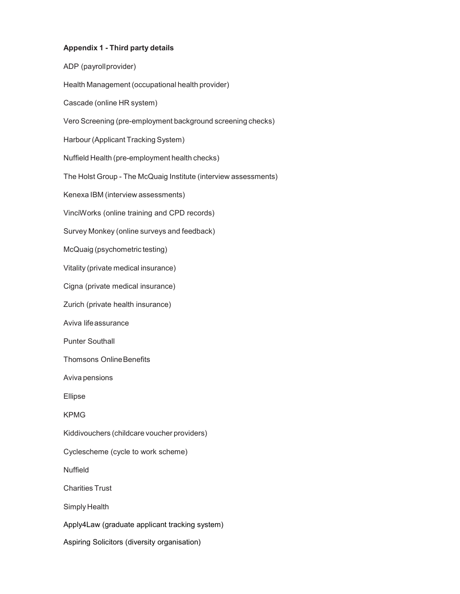# **Appendix 1 - Third party details**

ADP (payroll provider) Health Management (occupational health provider) Cascade (online HR system) Vero Screening (pre-employment background screening checks) Harbour (Applicant Tracking System) Nuffield Health (pre-employment health checks) The Holst Group - The McQuaig Institute (interview assessments) Kenexa IBM (interview assessments) VinciWorks (online training and CPD records) Survey Monkey (online surveys and feedback) McQuaig (psychometric testing) Vitality (private medical insurance) Cigna (private medical insurance) Zurich (private health insurance) Aviva life assurance Punter Southall Thomsons Online Benefits Aviva pensions Ellipse KPMG Kiddivouchers (childcare voucher providers) Cyclescheme (cycle to work scheme) Nuffield Charities Trust Simply Health Apply4Law (graduate applicant tracking system) Aspiring Solicitors (diversity organisation)